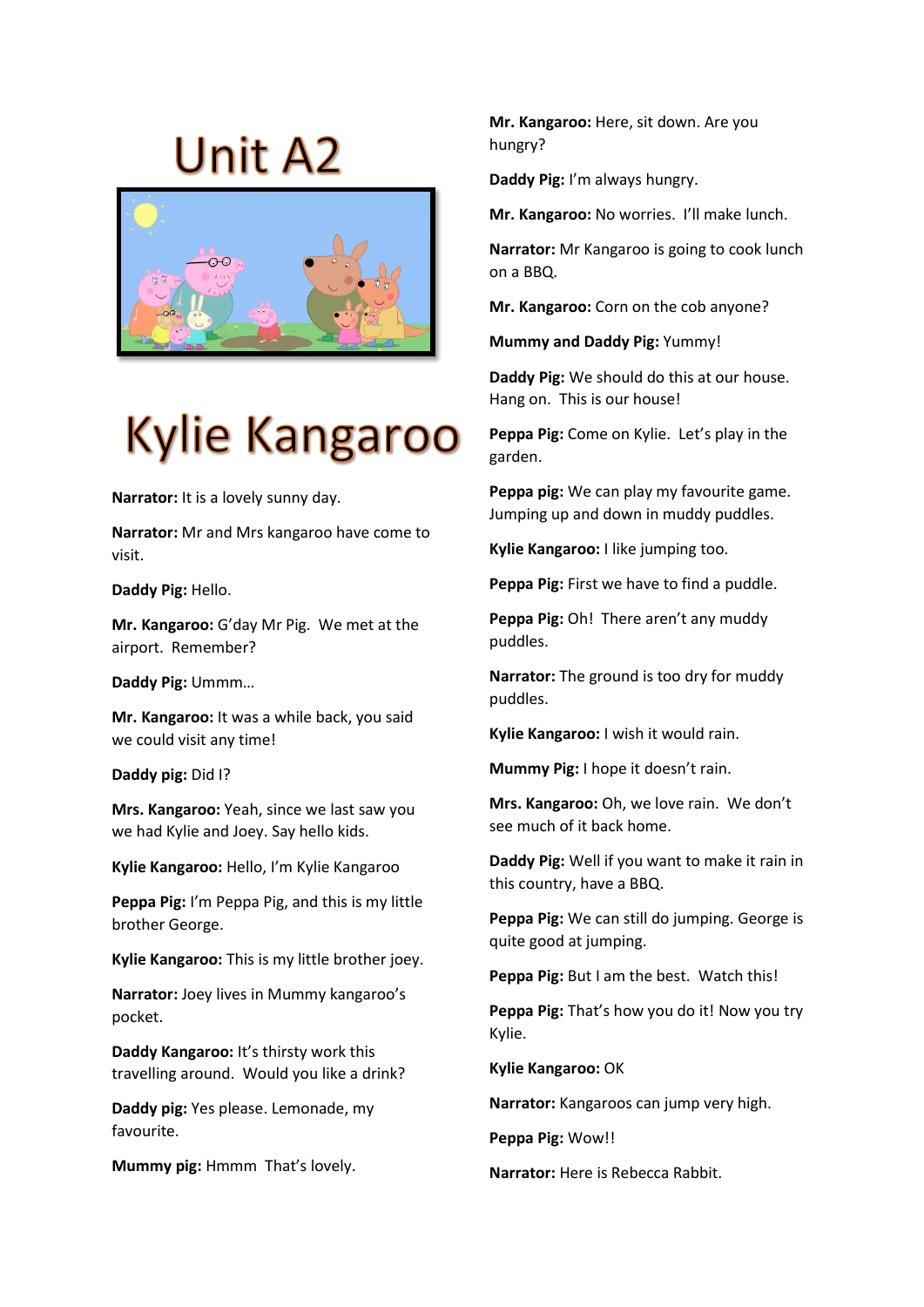## **Unit A2**



## **Kylie Kangaroo**

**Narrator:** It is a lovely sunny day.

**Narrator:** Mr and Mrs kangaroo have come to visit.

**Daddy Pig:** Hello.

**Mr. Kangaroo:** G'day Mr Pig. We met at the airport. Remember?

**Daddy Pig:** Ummm…

**Mr. Kangaroo:** It was a while back, you said we could visit any time!

**Daddy pig:** Did I?

**Mrs. Kangaroo:** Yeah, since we last saw you we had Kylie and Joey. Say hello kids.

**Kylie Kangaroo:** Hello, I'm Kylie Kangaroo

**Peppa Pig:** I'm Peppa Pig, and this is my little brother George.

**Kylie Kangaroo:** This is my little brother joey.

**Narrator:** Joey lives in Mummy kangaroo's pocket.

**Daddy Kangaroo:** It's thirsty work this travelling around. Would you like a drink?

**Daddy pig:** Yes please. Lemonade, my favourite.

**Mummy pig:** Hmmm That's lovely.

**Mr. Kangaroo:** Here, sit down. Are you hungry?

**Daddy Pig:** I'm always hungry.

**Mr. Kangaroo:** No worries. I'll make lunch.

**Narrator:** Mr Kangaroo is going to cook lunch on a BBQ.

**Mr. Kangaroo:** Corn on the cob anyone?

**Mummy and Daddy Pig:** Yummy!

**Daddy Pig:** We should do this at our house. Hang on. This is our house!

**Peppa Pig:** Come on Kylie. Let's play in the garden.

**Peppa pig:** We can play my favourite game. Jumping up and down in muddy puddles.

**Kylie Kangaroo:** I like jumping too.

**Peppa Pig:** First we have to find a puddle.

**Peppa Pig:** Oh! There aren't any muddy puddles.

**Narrator:** The ground is too dry for muddy puddles.

**Kylie Kangaroo:** I wish it would rain.

**Mummy Pig:** I hope it doesn't rain.

**Mrs. Kangaroo:** Oh, we love rain. We don't see much of it back home.

**Daddy Pig:** Well if you want to make it rain in this country, have a BBQ.

**Peppa Pig:** We can still do jumping. George is quite good at jumping.

**Peppa Pig:** But I am the best. Watch this!

**Peppa Pig:** That's how you do it! Now you try Kylie.

**Kylie Kangaroo:** OK

**Narrator:** Kangaroos can jump very high.

**Peppa Pig:** Wow!!

**Narrator:** Here is Rebecca Rabbit.